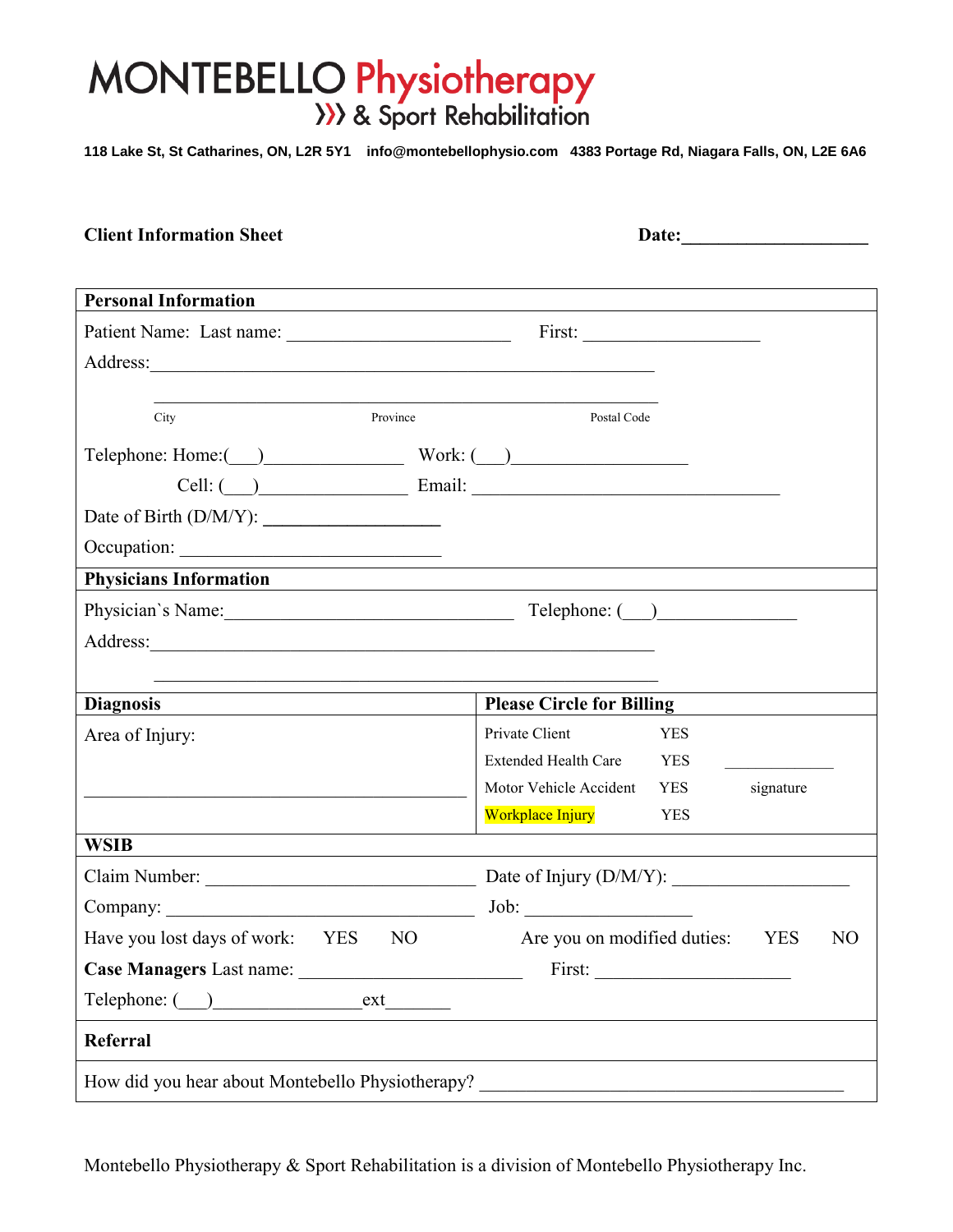# $\mathcal{N}$  Droppert Patient Patient Patient Patient Patient Patient Patient Patient Patient Patient Patient Patient Patient Patient Patient Patient Patient Patient Patient Patient Patient Patient Patient Patient Patient Pat

**118 Lake St, St Catharines, ON, L2R 5Y1 info@montebellophysio.com 4383 Portage Rd, Niagara Falls, ON, L2E 6A6**

| <b>Client Information Sheet</b>                                                  |                                                                                                                            |  |  |
|----------------------------------------------------------------------------------|----------------------------------------------------------------------------------------------------------------------------|--|--|
|                                                                                  |                                                                                                                            |  |  |
| <b>Personal Information</b>                                                      | <u> 1989 - Johann Stoff, amerikansk politiker (d. 1989)</u>                                                                |  |  |
|                                                                                  |                                                                                                                            |  |  |
|                                                                                  |                                                                                                                            |  |  |
|                                                                                  |                                                                                                                            |  |  |
| Province<br>City                                                                 | Postal Code                                                                                                                |  |  |
| $\text{Telephone: Home:}$ $\qquad \qquad$ Work: $\qquad \qquad$                  |                                                                                                                            |  |  |
|                                                                                  |                                                                                                                            |  |  |
|                                                                                  |                                                                                                                            |  |  |
|                                                                                  |                                                                                                                            |  |  |
| Physicians Information                                                           | ,我们也不会有什么。""我们的人,我们也不会有什么?""我们的人,我们也不会有什么?""我们的人,我们也不会有什么?""我们的人,我们也不会有什么?""我们的人                                           |  |  |
| Physician's Name: Telephone: ( )                                                 |                                                                                                                            |  |  |
|                                                                                  |                                                                                                                            |  |  |
|                                                                                  |                                                                                                                            |  |  |
| <b>Diagnosis</b>                                                                 | <b>Please Circle for Billing</b>                                                                                           |  |  |
| Area of Injury:                                                                  | Private Client<br><b>YES</b>                                                                                               |  |  |
|                                                                                  | Extended Health Care YES                                                                                                   |  |  |
|                                                                                  | Motor Vehicle Accident YES<br>signature                                                                                    |  |  |
|                                                                                  | Workplace Injury<br><b>YES</b>                                                                                             |  |  |
| <b>WSIB</b>                                                                      |                                                                                                                            |  |  |
|                                                                                  |                                                                                                                            |  |  |
| Company:                                                                         | Job:                                                                                                                       |  |  |
| Have you lost days of work:<br>N <sub>O</sub><br><b>YES</b>                      | Are you on modified duties:<br>N <sub>O</sub><br><b>YES</b>                                                                |  |  |
|                                                                                  |                                                                                                                            |  |  |
|                                                                                  | <u>and the contract of the contract of the contract of the contract of the contract of the contract of the contract of</u> |  |  |
| Referral                                                                         |                                                                                                                            |  |  |
| How did you hear about Montebello Physiotherapy? _______________________________ |                                                                                                                            |  |  |

Montebello Physiotherapy & Sport Rehabilitation is a division of Montebello Physiotherapy Inc.